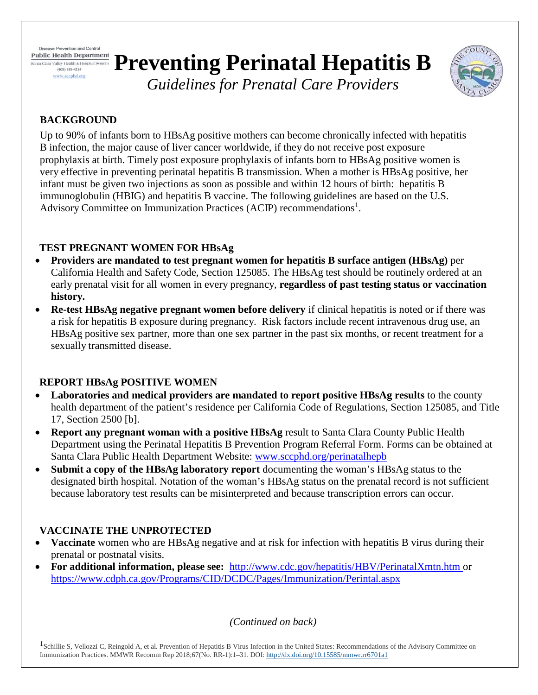Disease Prevention and Control **Public Health Department** Santa Clara Valley Health & Hospital System  $(408) 885 - 4214$ 

www.scephd.org

# **Preventing Perinatal Hepatitis B**



*Guidelines for Prenatal Care Providers*

## **BACKGROUND**

Up to 90% of infants born to HBsAg positive mothers can become chronically infected with hepatitis B infection, the major cause of liver cancer worldwide, if they do not receive post exposure prophylaxis at birth. Timely post exposure prophylaxis of infants born to HBsAg positive women is very effective in preventing perinatal hepatitis B transmission. When a mother is HBsAg positive, her infant must be given two injections as soon as possible and within 12 hours of birth: hepatitis B immunoglobulin (HBIG) and hepatitis B vaccine. The following guidelines are based on the U.S. Advisory Committee on Immunization Practices (ACIP) recommendations<sup>1</sup>.

## **TEST PREGNANT WOMEN FOR HBsAg**

- **Providers are mandated to test pregnant women for hepatitis B surface antigen (HBsAg)** per California Health and Safety Code, Section 125085. The HBsAg test should be routinely ordered at an early prenatal visit for all women in every pregnancy, **regardless of past testing status or vaccination history.**
- **Re-test HBsAg negative pregnant women before delivery** if clinical hepatitis is noted or if there was a risk for hepatitis B exposure during pregnancy. Risk factors include recent intravenous drug use, an HBsAg positive sex partner, more than one sex partner in the past six months, or recent treatment for a sexually transmitted disease.

## **REPORT HBsAg POSITIVE WOMEN**

- **Laboratories and medical providers are mandated to report positive HBsAg results** to the county health department of the patient's residence per California Code of Regulations, Section 125085, and Title 17, Section 2500 [b].
- **Report any pregnant woman with a positive HBsAg** result to Santa Clara County Public Health Department using the Perinatal Hepatitis B Prevention Program Referral Form. Forms can be obtained at Santa Clara Public Health Department Website: [www.sccphd.org/perinatalhepb](http://www.sccphd.org/perinatalhepb)
- **Submit a copy of the HBsAg laboratory report** documenting the woman's HBsAg status to the designated birth hospital. Notation of the woman's HBsAg status on the prenatal record is not sufficient because laboratory test results can be misinterpreted and because transcription errors can occur.

## **VACCINATE THE UNPROTECTED**

- **Vaccinate** women who are HBsAg negative and at risk for infection with hepatitis B virus during their prenatal or postnatal visits.
- **For additional information, please see:** <http://www.cdc.gov/hepatitis/HBV/PerinatalXmtn.htm> or [https://www.cdph.ca.gov/Programs/CID/DCDC/Pages/Immunization/Perintal.aspx](https://www.cdph.ca.gov/Programs/CID/DCDC/Pages/Immunization/Perinatal.aspx)

*(Continued on back)*

<sup>1</sup>Schillie S, Vellozzi C, Reingold A, et al. Prevention of Hepatitis B Virus Infection in the United States: Recommendations of the Advisory Committee on Immunization Practices. MMWR Recomm Rep 2018;67(No. RR-1):1–31. DOI[: http://dx.doi.org/10.15585/mmwr.rr6701a1](http://dx.doi.org/10.15585/mmwr.rr6701a1)